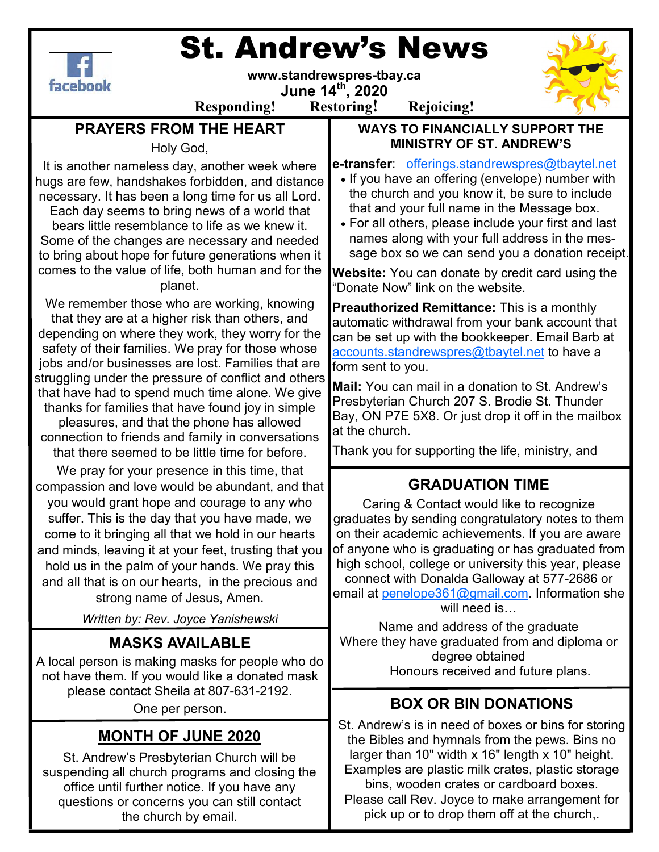# St. Andrew's News



**www.standrewspres-tbay.ca** 

**June 14th, 2020 Responding! Restoring! Rejoicing!**



# **PRAYERS FROM THE HEART**

Holy God,

It is another nameless day, another week where hugs are few, handshakes forbidden, and distance necessary. It has been a long time for us all Lord.

Each day seems to bring news of a world that bears little resemblance to life as we knew it. Some of the changes are necessary and needed to bring about hope for future generations when it comes to the value of life, both human and for the planet.

We remember those who are working, knowing that they are at a higher risk than others, and depending on where they work, they worry for the safety of their families. We pray for those whose jobs and/or businesses are lost. Families that are struggling under the pressure of conflict and others that have had to spend much time alone. We give thanks for families that have found joy in simple pleasures, and that the phone has allowed connection to friends and family in conversations that there seemed to be little time for before.

We pray for your presence in this time, that compassion and love would be abundant, and that you would grant hope and courage to any who suffer. This is the day that you have made, we come to it bringing all that we hold in our hearts and minds, leaving it at your feet, trusting that you hold us in the palm of your hands. We pray this and all that is on our hearts, in the precious and strong name of Jesus, Amen.

*Written by: Rev. Joyce Yanishewski*

# **MASKS AVAILABLE**

A local person is making masks for people who do not have them. If you would like a donated mask please contact Sheila at 807-631-2192.

One per person.

## **MONTH OF JUNE 2020**

St. Andrew's Presbyterian Church will be suspending all church programs and closing the office until further notice. If you have any questions or concerns you can still contact the church by email.

#### **WAYS TO FINANCIALLY SUPPORT THE MINISTRY OF ST. ANDREW'S**

**e-transfer**: offerings.standrewspres@tbaytel.net

- If you have an offering (envelope) number with the church and you know it, be sure to include that and your full name in the Message box.
- For all others, please include your first and last names along with your full address in the message box so we can send you a donation receipt.

**Website:** You can donate by credit card using the "Donate Now" link on the website.

**Preauthorized Remittance:** This is a monthly automatic withdrawal from your bank account that can be set up with the bookkeeper. Email Barb at accounts.standrewspres@tbaytel.net to have a form sent to you.

**Mail:** You can mail in a donation to St. Andrew's Presbyterian Church 207 S. Brodie St. Thunder Bay, ON P7E 5X8. Or just drop it off in the mailbox at the church.

Thank you for supporting the life, ministry, and

# **GRADUATION TIME**

Caring & Contact would like to recognize graduates by sending congratulatory notes to them on their academic achievements. If you are aware of anyone who is graduating or has graduated from high school, college or university this year, please connect with Donalda Galloway at 577-2686 or email at penelope361@gmail.com. Information she will need is

Name and address of the graduate Where they have graduated from and diploma or degree obtained Honours received and future plans.

# **BOX OR BIN DONATIONS**

St. Andrew's is in need of boxes or bins for storing the Bibles and hymnals from the pews. Bins no larger than 10" width x 16" length x 10" height. Examples are plastic milk crates, plastic storage bins, wooden crates or cardboard boxes.

Please call Rev. Joyce to make arrangement for pick up or to drop them off at the church,.